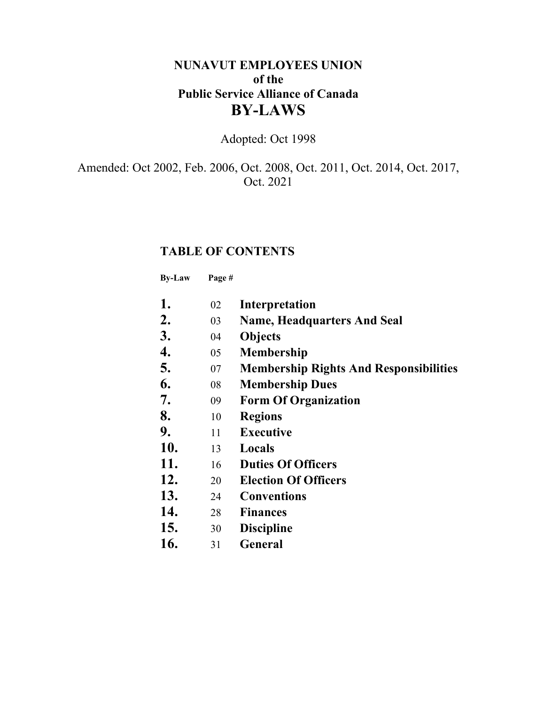## **NUNAVUT EMPLOYEES UNION of the Public Service Alliance of Canada BY-LAWS**

Adopted: Oct 1998

Amended: Oct 2002, Feb. 2006, Oct. 2008, Oct. 2011, Oct. 2014, Oct. 2017, Oct. 2021

## **TABLE OF CONTENTS**

**By-Law Page #**

| 1.  | 02 | Interpretation                                |
|-----|----|-----------------------------------------------|
| 2.  | 03 | <b>Name, Headquarters And Seal</b>            |
| 3.  | 04 | <b>Objects</b>                                |
| 4.  | 05 | <b>Membership</b>                             |
| 5.  | 07 | <b>Membership Rights And Responsibilities</b> |
| 6.  | 08 | <b>Membership Dues</b>                        |
| 7.  | 09 | <b>Form Of Organization</b>                   |
| 8.  | 10 | <b>Regions</b>                                |
| 9.  | 11 | <b>Executive</b>                              |
| 10. | 13 | Locals                                        |
| 11. | 16 | <b>Duties Of Officers</b>                     |
| 12. | 20 | <b>Election Of Officers</b>                   |
| 13. | 24 | <b>Conventions</b>                            |
| 14. | 28 | <b>Finances</b>                               |
| 15. | 30 | <b>Discipline</b>                             |
| 16. | 31 | <b>General</b>                                |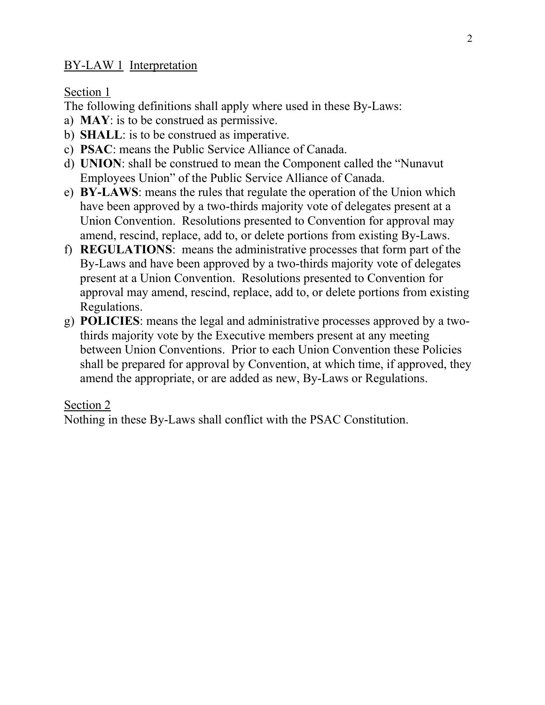### BY-LAW 1 Interpretation

Section 1

The following definitions shall apply where used in these By-Laws:

- a) **MAY**: is to be construed as permissive.
- b) **SHALL**: is to be construed as imperative.
- c) **PSAC**: means the Public Service Alliance of Canada.
- d) **UNION**: shall be construed to mean the Component called the "Nunavut Employees Union" of the Public Service Alliance of Canada.
- e) **BY-LAWS**: means the rules that regulate the operation of the Union which have been approved by a two-thirds majority vote of delegates present at a Union Convention. Resolutions presented to Convention for approval may amend, rescind, replace, add to, or delete portions from existing By-Laws.
- f) **REGULATIONS**: means the administrative processes that form part of the By-Laws and have been approved by a two-thirds majority vote of delegates present at a Union Convention. Resolutions presented to Convention for approval may amend, rescind, replace, add to, or delete portions from existing Regulations.
- g) **POLICIES**: means the legal and administrative processes approved by a twothirds majority vote by the Executive members present at any meeting between Union Conventions. Prior to each Union Convention these Policies shall be prepared for approval by Convention, at which time, if approved, they amend the appropriate, or are added as new, By-Laws or Regulations.

#### Section 2

Nothing in these By-Laws shall conflict with the PSAC Constitution.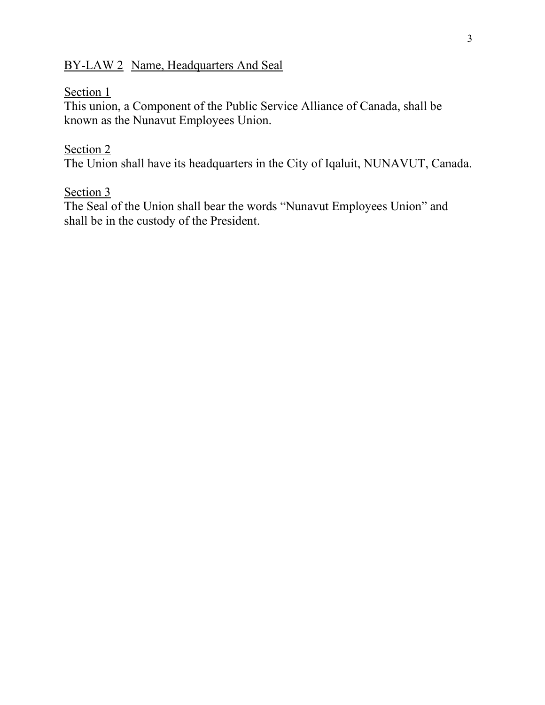## BY-LAW 2 Name, Headquarters And Seal

### Section 1

This union, a Component of the Public Service Alliance of Canada, shall be known as the Nunavut Employees Union.

### Section 2

The Union shall have its headquarters in the City of Iqaluit, NUNAVUT, Canada.

### Section 3

The Seal of the Union shall bear the words "Nunavut Employees Union" and shall be in the custody of the President.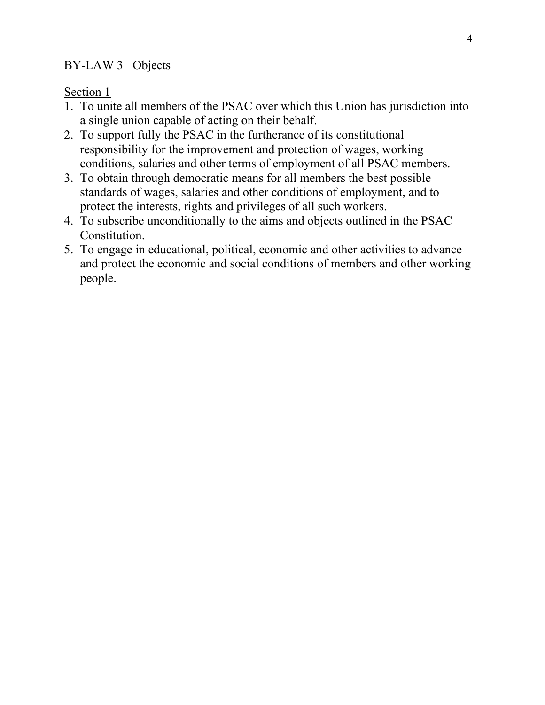### BY-LAW 3 Objects

Section 1

- 1. To unite all members of the PSAC over which this Union has jurisdiction into a single union capable of acting on their behalf.
- 2. To support fully the PSAC in the furtherance of its constitutional responsibility for the improvement and protection of wages, working conditions, salaries and other terms of employment of all PSAC members.
- 3. To obtain through democratic means for all members the best possible standards of wages, salaries and other conditions of employment, and to protect the interests, rights and privileges of all such workers.
- 4. To subscribe unconditionally to the aims and objects outlined in the PSAC Constitution.
- 5. To engage in educational, political, economic and other activities to advance and protect the economic and social conditions of members and other working people.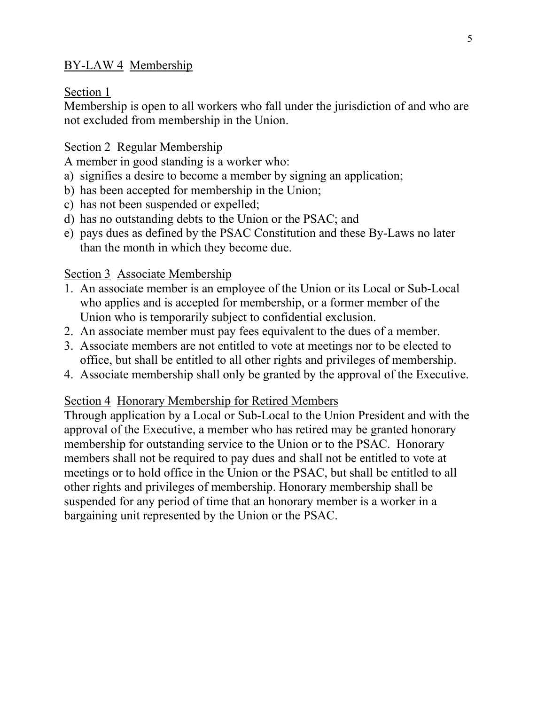## BY-LAW 4 Membership

#### Section 1

Membership is open to all workers who fall under the jurisdiction of and who are not excluded from membership in the Union.

### Section 2 Regular Membership

A member in good standing is a worker who:

- a) signifies a desire to become a member by signing an application;
- b) has been accepted for membership in the Union;
- c) has not been suspended or expelled;
- d) has no outstanding debts to the Union or the PSAC; and
- e) pays dues as defined by the PSAC Constitution and these By-Laws no later than the month in which they become due.

### Section 3 Associate Membership

- 1. An associate member is an employee of the Union or its Local or Sub-Local who applies and is accepted for membership, or a former member of the Union who is temporarily subject to confidential exclusion.
- 2. An associate member must pay fees equivalent to the dues of a member.
- 3. Associate members are not entitled to vote at meetings nor to be elected to office, but shall be entitled to all other rights and privileges of membership.
- 4. Associate membership shall only be granted by the approval of the Executive.

### Section 4 Honorary Membership for Retired Members

Through application by a Local or Sub-Local to the Union President and with the approval of the Executive, a member who has retired may be granted honorary membership for outstanding service to the Union or to the PSAC. Honorary members shall not be required to pay dues and shall not be entitled to vote at meetings or to hold office in the Union or the PSAC, but shall be entitled to all other rights and privileges of membership. Honorary membership shall be suspended for any period of time that an honorary member is a worker in a bargaining unit represented by the Union or the PSAC.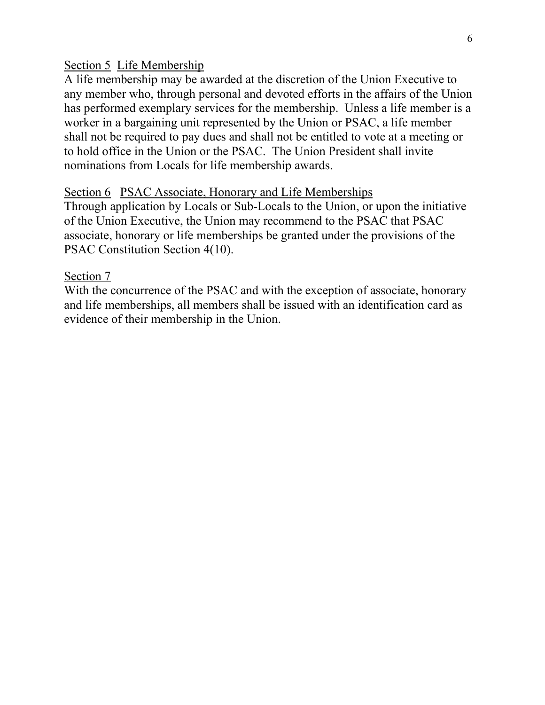#### Section 5 Life Membership

A life membership may be awarded at the discretion of the Union Executive to any member who, through personal and devoted efforts in the affairs of the Union has performed exemplary services for the membership. Unless a life member is a worker in a bargaining unit represented by the Union or PSAC, a life member shall not be required to pay dues and shall not be entitled to vote at a meeting or to hold office in the Union or the PSAC. The Union President shall invite nominations from Locals for life membership awards.

#### Section 6 PSAC Associate, Honorary and Life Memberships

Through application by Locals or Sub-Locals to the Union, or upon the initiative of the Union Executive, the Union may recommend to the PSAC that PSAC associate, honorary or life memberships be granted under the provisions of the PSAC Constitution Section 4(10).

#### Section 7

With the concurrence of the PSAC and with the exception of associate, honorary and life memberships, all members shall be issued with an identification card as evidence of their membership in the Union.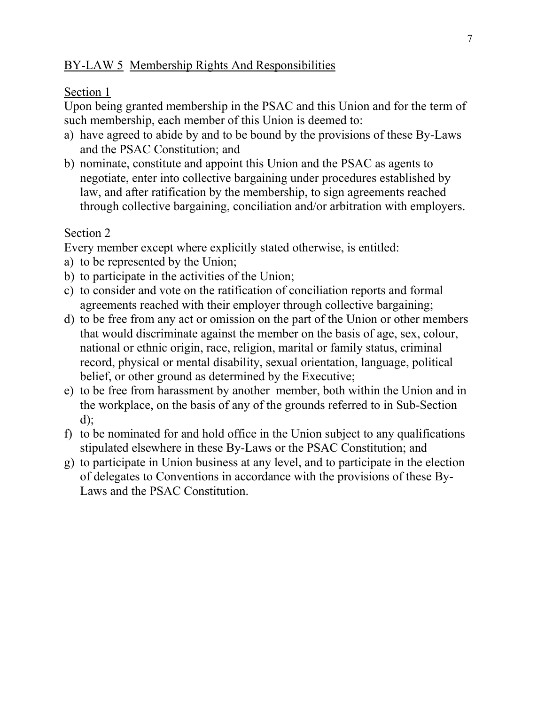### BY-LAW 5 Membership Rights And Responsibilities

#### Section 1

Upon being granted membership in the PSAC and this Union and for the term of such membership, each member of this Union is deemed to:

- a) have agreed to abide by and to be bound by the provisions of these By-Laws and the PSAC Constitution; and
- b) nominate, constitute and appoint this Union and the PSAC as agents to negotiate, enter into collective bargaining under procedures established by law, and after ratification by the membership, to sign agreements reached through collective bargaining, conciliation and/or arbitration with employers.

### Section 2

Every member except where explicitly stated otherwise, is entitled:

- a) to be represented by the Union;
- b) to participate in the activities of the Union;
- c) to consider and vote on the ratification of conciliation reports and formal agreements reached with their employer through collective bargaining;
- d) to be free from any act or omission on the part of the Union or other members that would discriminate against the member on the basis of age, sex, colour, national or ethnic origin, race, religion, marital or family status, criminal record, physical or mental disability, sexual orientation, language, political belief, or other ground as determined by the Executive;
- e) to be free from harassment by another member, both within the Union and in the workplace, on the basis of any of the grounds referred to in Sub-Section d);
- f) to be nominated for and hold office in the Union subject to any qualifications stipulated elsewhere in these By-Laws or the PSAC Constitution; and
- g) to participate in Union business at any level, and to participate in the election of delegates to Conventions in accordance with the provisions of these By-Laws and the PSAC Constitution.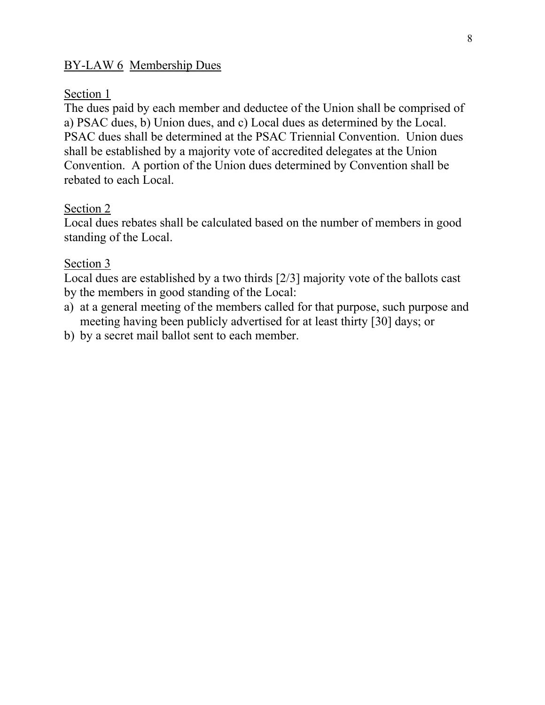### BY-LAW 6 Membership Dues

#### Section 1

The dues paid by each member and deductee of the Union shall be comprised of a) PSAC dues, b) Union dues, and c) Local dues as determined by the Local. PSAC dues shall be determined at the PSAC Triennial Convention. Union dues shall be established by a majority vote of accredited delegates at the Union Convention. A portion of the Union dues determined by Convention shall be rebated to each Local.

#### Section 2

Local dues rebates shall be calculated based on the number of members in good standing of the Local.

#### Section 3

Local dues are established by a two thirds [2/3] majority vote of the ballots cast by the members in good standing of the Local:

- a) at a general meeting of the members called for that purpose, such purpose and meeting having been publicly advertised for at least thirty [30] days; or
- b) by a secret mail ballot sent to each member.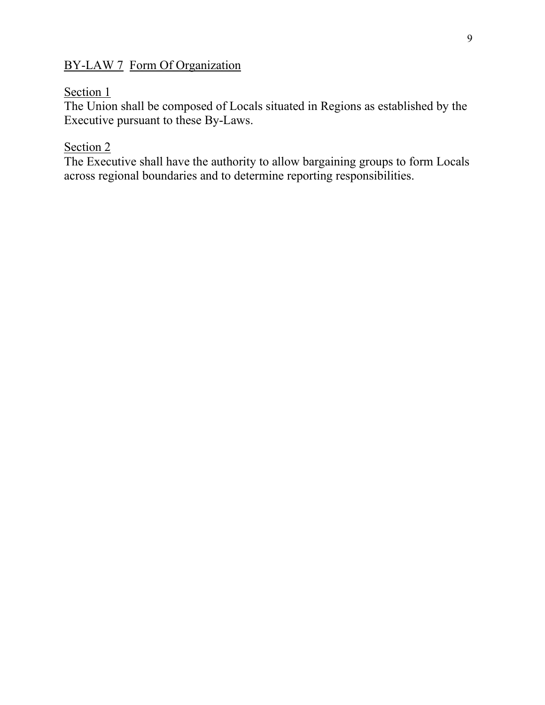## BY-LAW 7 Form Of Organization

#### Section 1

The Union shall be composed of Locals situated in Regions as established by the Executive pursuant to these By-Laws.

### Section 2

The Executive shall have the authority to allow bargaining groups to form Locals across regional boundaries and to determine reporting responsibilities.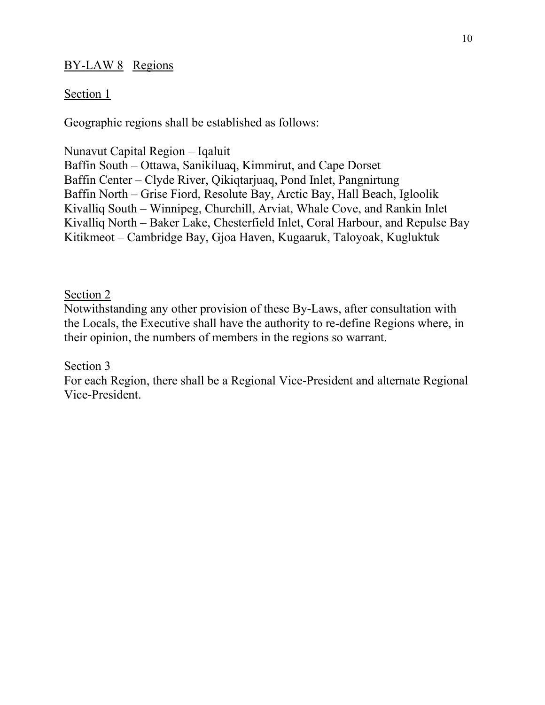### BY-LAW 8 Regions

### Section 1

Geographic regions shall be established as follows:

Nunavut Capital Region – Iqaluit

Baffin South – Ottawa, Sanikiluaq, Kimmirut, and Cape Dorset Baffin Center – Clyde River, Qikiqtarjuaq, Pond Inlet, Pangnirtung Baffin North – Grise Fiord, Resolute Bay, Arctic Bay, Hall Beach, Igloolik Kivalliq South – Winnipeg, Churchill, Arviat, Whale Cove, and Rankin Inlet Kivalliq North – Baker Lake, Chesterfield Inlet, Coral Harbour, and Repulse Bay Kitikmeot – Cambridge Bay, Gjoa Haven, Kugaaruk, Taloyoak, Kugluktuk

### Section 2

Notwithstanding any other provision of these By-Laws, after consultation with the Locals, the Executive shall have the authority to re-define Regions where, in their opinion, the numbers of members in the regions so warrant.

### Section 3

For each Region, there shall be a Regional Vice-President and alternate Regional Vice-President.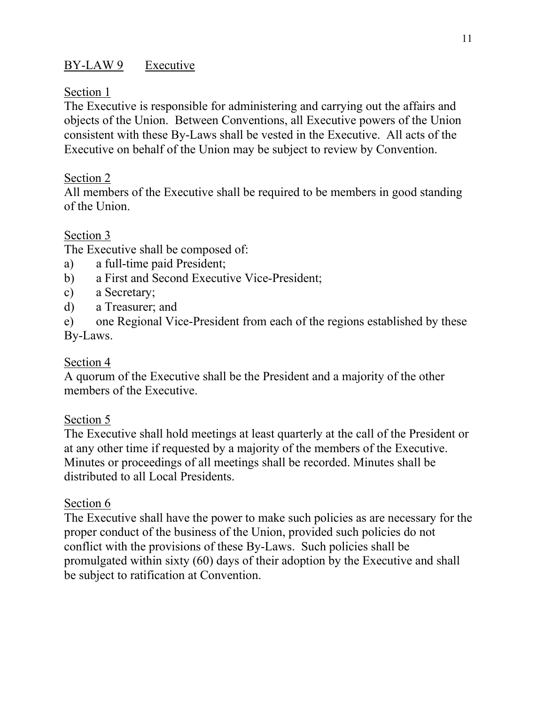# BY-LAW 9 Executive

#### Section 1

The Executive is responsible for administering and carrying out the affairs and objects of the Union. Between Conventions, all Executive powers of the Union consistent with these By-Laws shall be vested in the Executive. All acts of the Executive on behalf of the Union may be subject to review by Convention.

### Section 2

All members of the Executive shall be required to be members in good standing of the Union.

### Section 3

The Executive shall be composed of:

- a) a full-time paid President;
- b) a First and Second Executive Vice-President;
- c) a Secretary;
- d) a Treasurer; and
- e) one Regional Vice-President from each of the regions established by these By-Laws.

### Section 4

A quorum of the Executive shall be the President and a majority of the other members of the Executive.

### Section 5

The Executive shall hold meetings at least quarterly at the call of the President or at any other time if requested by a majority of the members of the Executive. Minutes or proceedings of all meetings shall be recorded. Minutes shall be distributed to all Local Presidents.

### Section 6

The Executive shall have the power to make such policies as are necessary for the proper conduct of the business of the Union, provided such policies do not conflict with the provisions of these By-Laws. Such policies shall be promulgated within sixty (60) days of their adoption by the Executive and shall be subject to ratification at Convention.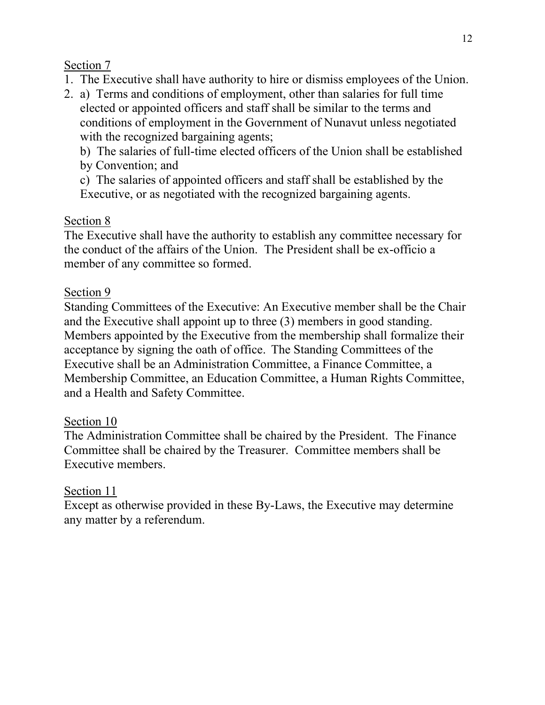- 1. The Executive shall have authority to hire or dismiss employees of the Union.
- 2. a) Terms and conditions of employment, other than salaries for full time elected or appointed officers and staff shall be similar to the terms and conditions of employment in the Government of Nunavut unless negotiated with the recognized bargaining agents;

b) The salaries of full-time elected officers of the Union shall be established by Convention; and

c) The salaries of appointed officers and staff shall be established by the Executive, or as negotiated with the recognized bargaining agents.

# Section 8

The Executive shall have the authority to establish any committee necessary for the conduct of the affairs of the Union. The President shall be ex-officio a member of any committee so formed.

## Section 9

Standing Committees of the Executive: An Executive member shall be the Chair and the Executive shall appoint up to three (3) members in good standing. Members appointed by the Executive from the membership shall formalize their acceptance by signing the oath of office. The Standing Committees of the Executive shall be an Administration Committee, a Finance Committee, a Membership Committee, an Education Committee, a Human Rights Committee, and a Health and Safety Committee.

## Section 10

The Administration Committee shall be chaired by the President. The Finance Committee shall be chaired by the Treasurer. Committee members shall be Executive members.

## Section 11

Except as otherwise provided in these By-Laws, the Executive may determine any matter by a referendum.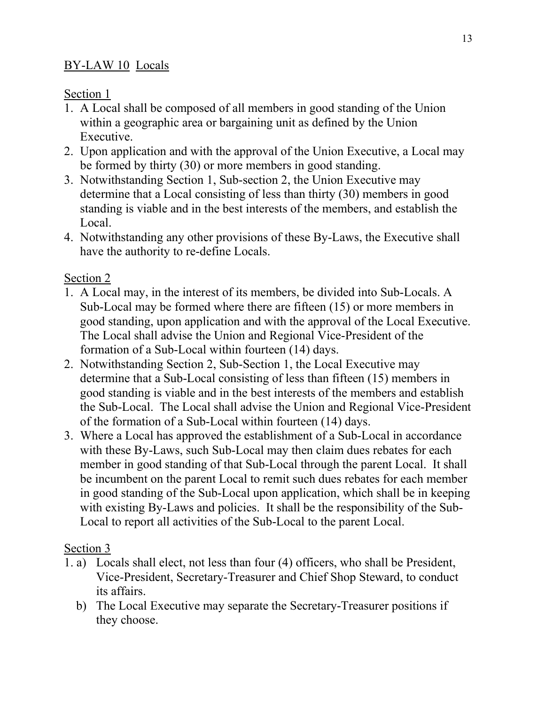## BY-LAW 10 Locals

## Section 1

- 1. A Local shall be composed of all members in good standing of the Union within a geographic area or bargaining unit as defined by the Union Executive.
- 2. Upon application and with the approval of the Union Executive, a Local may be formed by thirty (30) or more members in good standing.
- 3. Notwithstanding Section 1, Sub-section 2, the Union Executive may determine that a Local consisting of less than thirty (30) members in good standing is viable and in the best interests of the members, and establish the Local.
- 4. Notwithstanding any other provisions of these By-Laws, the Executive shall have the authority to re-define Locals.

# Section 2

- 1. A Local may, in the interest of its members, be divided into Sub-Locals. A Sub-Local may be formed where there are fifteen (15) or more members in good standing, upon application and with the approval of the Local Executive. The Local shall advise the Union and Regional Vice-President of the formation of a Sub-Local within fourteen (14) days.
- 2. Notwithstanding Section 2, Sub-Section 1, the Local Executive may determine that a Sub-Local consisting of less than fifteen (15) members in good standing is viable and in the best interests of the members and establish the Sub-Local. The Local shall advise the Union and Regional Vice-President of the formation of a Sub-Local within fourteen (14) days.
- 3. Where a Local has approved the establishment of a Sub-Local in accordance with these By-Laws, such Sub-Local may then claim dues rebates for each member in good standing of that Sub-Local through the parent Local. It shall be incumbent on the parent Local to remit such dues rebates for each member in good standing of the Sub-Local upon application, which shall be in keeping with existing By-Laws and policies. It shall be the responsibility of the Sub-Local to report all activities of the Sub-Local to the parent Local.

## Section 3

- 1. a) Locals shall elect, not less than four (4) officers, who shall be President, Vice-President, Secretary-Treasurer and Chief Shop Steward, to conduct its affairs.
	- b) The Local Executive may separate the Secretary-Treasurer positions if they choose.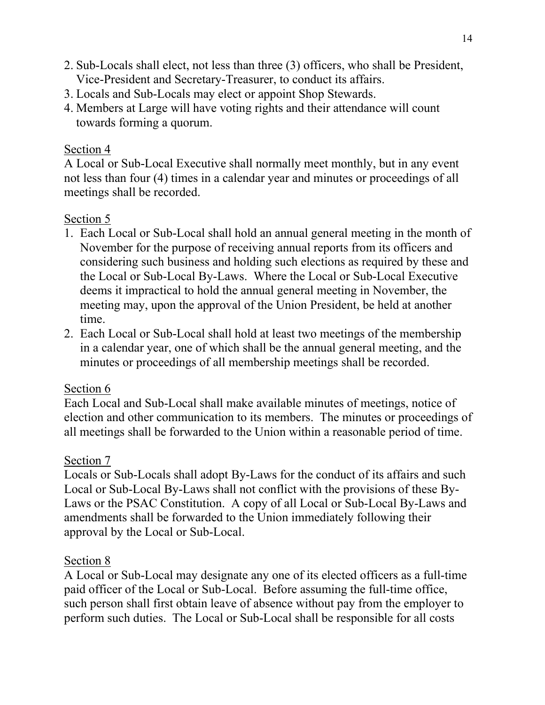- 2. Sub-Locals shall elect, not less than three (3) officers, who shall be President, Vice-President and Secretary-Treasurer, to conduct its affairs.
- 3. Locals and Sub-Locals may elect or appoint Shop Stewards.
- 4. Members at Large will have voting rights and their attendance will count towards forming a quorum.

A Local or Sub-Local Executive shall normally meet monthly, but in any event not less than four (4) times in a calendar year and minutes or proceedings of all meetings shall be recorded.

## Section 5

- 1. Each Local or Sub-Local shall hold an annual general meeting in the month of November for the purpose of receiving annual reports from its officers and considering such business and holding such elections as required by these and the Local or Sub-Local By-Laws. Where the Local or Sub-Local Executive deems it impractical to hold the annual general meeting in November, the meeting may, upon the approval of the Union President, be held at another time.
- 2. Each Local or Sub-Local shall hold at least two meetings of the membership in a calendar year, one of which shall be the annual general meeting, and the minutes or proceedings of all membership meetings shall be recorded.

### Section 6

Each Local and Sub-Local shall make available minutes of meetings, notice of election and other communication to its members. The minutes or proceedings of all meetings shall be forwarded to the Union within a reasonable period of time.

## Section 7

Locals or Sub-Locals shall adopt By-Laws for the conduct of its affairs and such Local or Sub-Local By-Laws shall not conflict with the provisions of these By-Laws or the PSAC Constitution. A copy of all Local or Sub-Local By-Laws and amendments shall be forwarded to the Union immediately following their approval by the Local or Sub-Local.

### Section 8

A Local or Sub-Local may designate any one of its elected officers as a full-time paid officer of the Local or Sub-Local. Before assuming the full-time office, such person shall first obtain leave of absence without pay from the employer to perform such duties. The Local or Sub-Local shall be responsible for all costs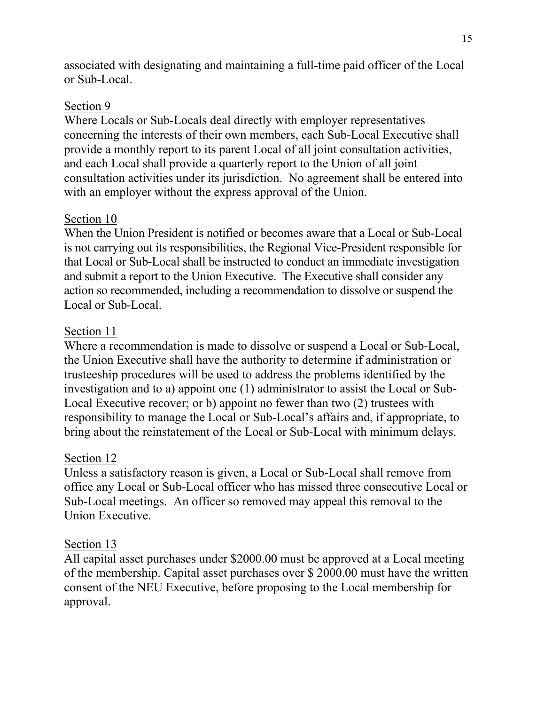associated with designating and maintaining a full-time paid officer of the Local or Sub-Local.

#### Section 9

Where Locals or Sub-Locals deal directly with employer representatives concerning the interests of their own members, each Sub-Local Executive shall provide a monthly report to its parent Local of all joint consultation activities, and each Local shall provide a quarterly report to the Union of all joint consultation activities under its jurisdiction. No agreement shall be entered into with an employer without the express approval of the Union.

### Section 10

When the Union President is notified or becomes aware that a Local or Sub-Local is not carrying out its responsibilities, the Regional Vice-President responsible for that Local or Sub-Local shall be instructed to conduct an immediate investigation and submit a report to the Union Executive. The Executive shall consider any action so recommended, including a recommendation to dissolve or suspend the Local or Sub-Local.

### Section 11

Where a recommendation is made to dissolve or suspend a Local or Sub-Local, the Union Executive shall have the authority to determine if administration or trusteeship procedures will be used to address the problems identified by the investigation and to a) appoint one (1) administrator to assist the Local or Sub-Local Executive recover; or b) appoint no fewer than two (2) trustees with responsibility to manage the Local or Sub-Local's affairs and, if appropriate, to bring about the reinstatement of the Local or Sub-Local with minimum delays.

### Section 12

Unless a satisfactory reason is given, a Local or Sub-Local shall remove from office any Local or Sub-Local officer who has missed three consecutive Local or Sub-Local meetings. An officer so removed may appeal this removal to the Union Executive.

### Section 13

All capital asset purchases under \$2000.00 must be approved at a Local meeting of the membership. Capital asset purchases over \$ 2000.00 must have the written consent of the NEU Executive, before proposing to the Local membership for approval.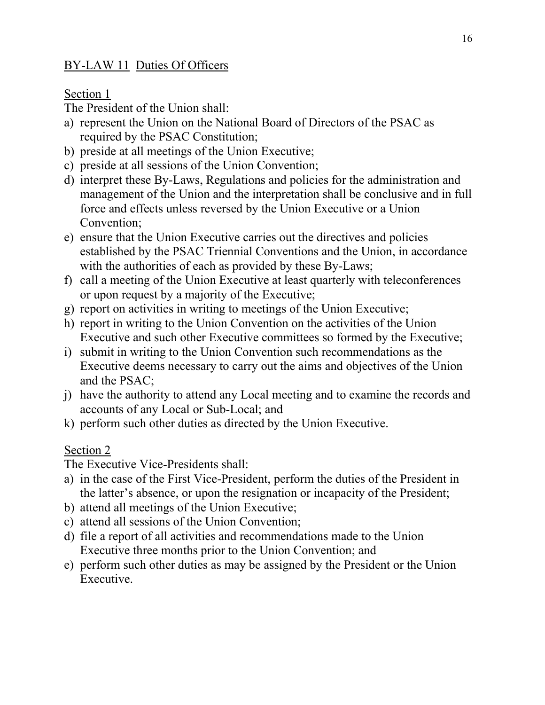## BY-LAW 11 Duties Of Officers

### Section 1

The President of the Union shall:

- a) represent the Union on the National Board of Directors of the PSAC as required by the PSAC Constitution;
- b) preside at all meetings of the Union Executive;
- c) preside at all sessions of the Union Convention;
- d) interpret these By-Laws, Regulations and policies for the administration and management of the Union and the interpretation shall be conclusive and in full force and effects unless reversed by the Union Executive or a Union Convention;
- e) ensure that the Union Executive carries out the directives and policies established by the PSAC Triennial Conventions and the Union, in accordance with the authorities of each as provided by these By-Laws;
- f) call a meeting of the Union Executive at least quarterly with teleconferences or upon request by a majority of the Executive;
- g) report on activities in writing to meetings of the Union Executive;
- h) report in writing to the Union Convention on the activities of the Union Executive and such other Executive committees so formed by the Executive;
- i) submit in writing to the Union Convention such recommendations as the Executive deems necessary to carry out the aims and objectives of the Union and the PSAC;
- j) have the authority to attend any Local meeting and to examine the records and accounts of any Local or Sub-Local; and
- k) perform such other duties as directed by the Union Executive.

# Section 2

The Executive Vice-Presidents shall:

- a) in the case of the First Vice-President, perform the duties of the President in the latter's absence, or upon the resignation or incapacity of the President;
- b) attend all meetings of the Union Executive;
- c) attend all sessions of the Union Convention;
- d) file a report of all activities and recommendations made to the Union Executive three months prior to the Union Convention; and
- e) perform such other duties as may be assigned by the President or the Union Executive.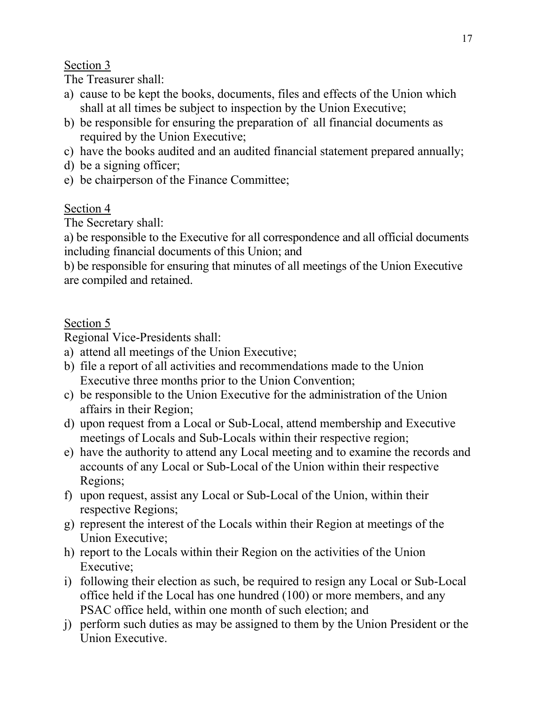The Treasurer shall:

- a) cause to be kept the books, documents, files and effects of the Union which shall at all times be subject to inspection by the Union Executive;
- b) be responsible for ensuring the preparation of all financial documents as required by the Union Executive;
- c) have the books audited and an audited financial statement prepared annually;
- d) be a signing officer;
- e) be chairperson of the Finance Committee;

## Section 4

The Secretary shall:

a) be responsible to the Executive for all correspondence and all official documents including financial documents of this Union; and

b) be responsible for ensuring that minutes of all meetings of the Union Executive are compiled and retained.

## Section 5

Regional Vice-Presidents shall:

- a) attend all meetings of the Union Executive;
- b) file a report of all activities and recommendations made to the Union Executive three months prior to the Union Convention;
- c) be responsible to the Union Executive for the administration of the Union affairs in their Region;
- d) upon request from a Local or Sub-Local, attend membership and Executive meetings of Locals and Sub-Locals within their respective region;
- e) have the authority to attend any Local meeting and to examine the records and accounts of any Local or Sub-Local of the Union within their respective Regions;
- f) upon request, assist any Local or Sub-Local of the Union, within their respective Regions;
- g) represent the interest of the Locals within their Region at meetings of the Union Executive;
- h) report to the Locals within their Region on the activities of the Union Executive;
- i) following their election as such, be required to resign any Local or Sub-Local office held if the Local has one hundred (100) or more members, and any PSAC office held, within one month of such election; and
- j) perform such duties as may be assigned to them by the Union President or the Union Executive.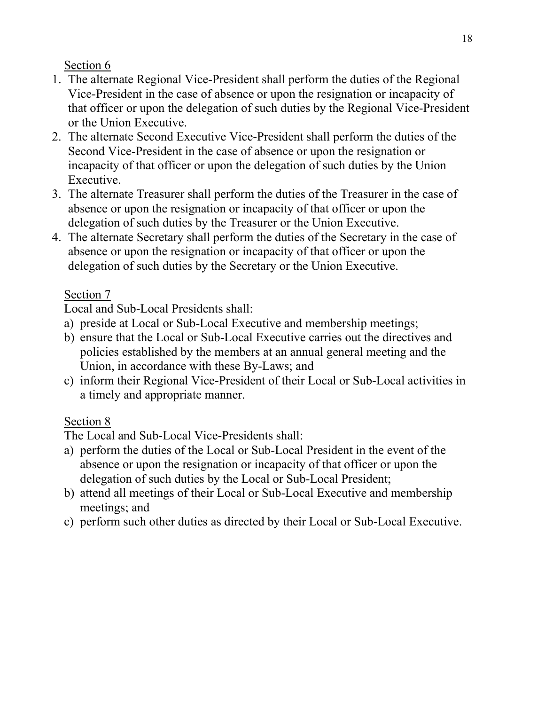- 1. The alternate Regional Vice-President shall perform the duties of the Regional Vice-President in the case of absence or upon the resignation or incapacity of that officer or upon the delegation of such duties by the Regional Vice-President or the Union Executive.
- 2. The alternate Second Executive Vice-President shall perform the duties of the Second Vice-President in the case of absence or upon the resignation or incapacity of that officer or upon the delegation of such duties by the Union Executive.
- 3. The alternate Treasurer shall perform the duties of the Treasurer in the case of absence or upon the resignation or incapacity of that officer or upon the delegation of such duties by the Treasurer or the Union Executive.
- 4. The alternate Secretary shall perform the duties of the Secretary in the case of absence or upon the resignation or incapacity of that officer or upon the delegation of such duties by the Secretary or the Union Executive.

## Section 7

Local and Sub-Local Presidents shall:

- a) preside at Local or Sub-Local Executive and membership meetings;
- b) ensure that the Local or Sub-Local Executive carries out the directives and policies established by the members at an annual general meeting and the Union, in accordance with these By-Laws; and
- c) inform their Regional Vice-President of their Local or Sub-Local activities in a timely and appropriate manner.

# Section 8

The Local and Sub-Local Vice-Presidents shall:

- a) perform the duties of the Local or Sub-Local President in the event of the absence or upon the resignation or incapacity of that officer or upon the delegation of such duties by the Local or Sub-Local President;
- b) attend all meetings of their Local or Sub-Local Executive and membership meetings; and
- c) perform such other duties as directed by their Local or Sub-Local Executive.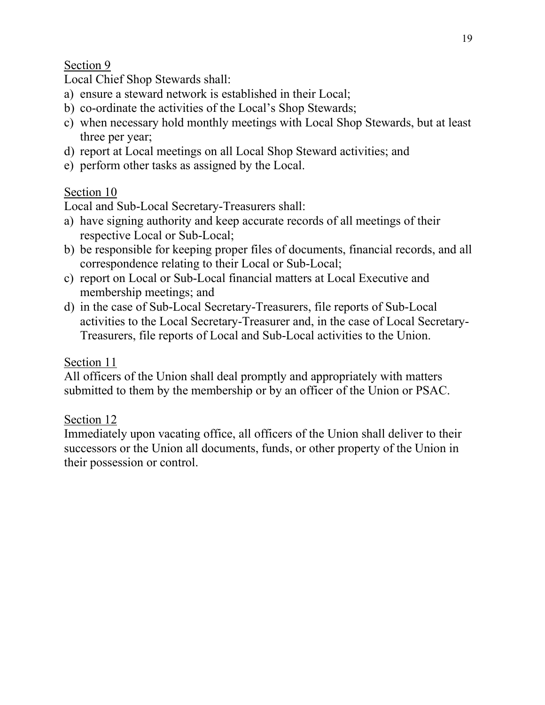Local Chief Shop Stewards shall:

- a) ensure a steward network is established in their Local;
- b) co-ordinate the activities of the Local's Shop Stewards;
- c) when necessary hold monthly meetings with Local Shop Stewards, but at least three per year;
- d) report at Local meetings on all Local Shop Steward activities; and
- e) perform other tasks as assigned by the Local.

# Section 10

Local and Sub-Local Secretary-Treasurers shall:

- a) have signing authority and keep accurate records of all meetings of their respective Local or Sub-Local;
- b) be responsible for keeping proper files of documents, financial records, and all correspondence relating to their Local or Sub-Local;
- c) report on Local or Sub-Local financial matters at Local Executive and membership meetings; and
- d) in the case of Sub-Local Secretary-Treasurers, file reports of Sub-Local activities to the Local Secretary-Treasurer and, in the case of Local Secretary-Treasurers, file reports of Local and Sub-Local activities to the Union.

# Section 11

All officers of the Union shall deal promptly and appropriately with matters submitted to them by the membership or by an officer of the Union or PSAC.

# Section 12

Immediately upon vacating office, all officers of the Union shall deliver to their successors or the Union all documents, funds, or other property of the Union in their possession or control.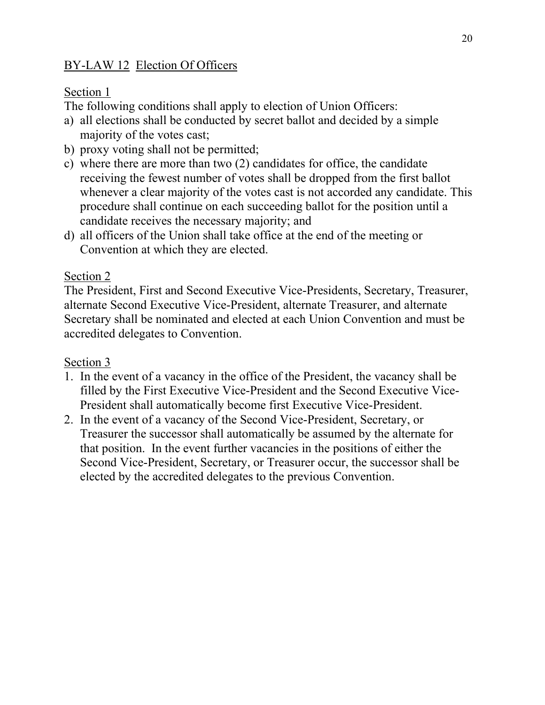# BY-LAW 12 Election Of Officers

## Section 1

The following conditions shall apply to election of Union Officers:

- a) all elections shall be conducted by secret ballot and decided by a simple majority of the votes cast;
- b) proxy voting shall not be permitted;
- c) where there are more than two (2) candidates for office, the candidate receiving the fewest number of votes shall be dropped from the first ballot whenever a clear majority of the votes cast is not accorded any candidate. This procedure shall continue on each succeeding ballot for the position until a candidate receives the necessary majority; and
- d) all officers of the Union shall take office at the end of the meeting or Convention at which they are elected.

## Section 2

The President, First and Second Executive Vice-Presidents, Secretary, Treasurer, alternate Second Executive Vice-President, alternate Treasurer, and alternate Secretary shall be nominated and elected at each Union Convention and must be accredited delegates to Convention.

# Section 3

- 1. In the event of a vacancy in the office of the President, the vacancy shall be filled by the First Executive Vice-President and the Second Executive Vice-President shall automatically become first Executive Vice-President.
- 2. In the event of a vacancy of the Second Vice-President, Secretary, or Treasurer the successor shall automatically be assumed by the alternate for that position. In the event further vacancies in the positions of either the Second Vice-President, Secretary, or Treasurer occur, the successor shall be elected by the accredited delegates to the previous Convention.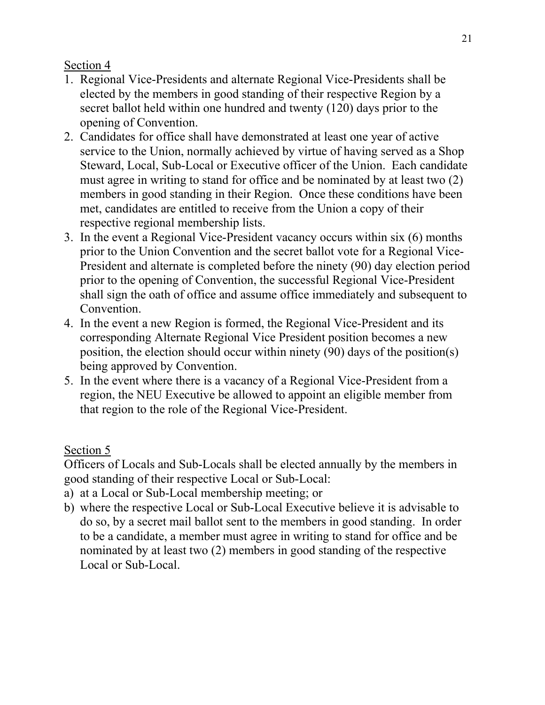- 1. Regional Vice-Presidents and alternate Regional Vice-Presidents shall be elected by the members in good standing of their respective Region by a secret ballot held within one hundred and twenty (120) days prior to the opening of Convention.
- 2. Candidates for office shall have demonstrated at least one year of active service to the Union, normally achieved by virtue of having served as a Shop Steward, Local, Sub-Local or Executive officer of the Union. Each candidate must agree in writing to stand for office and be nominated by at least two (2) members in good standing in their Region. Once these conditions have been met, candidates are entitled to receive from the Union a copy of their respective regional membership lists.
- 3. In the event a Regional Vice-President vacancy occurs within six (6) months prior to the Union Convention and the secret ballot vote for a Regional Vice-President and alternate is completed before the ninety (90) day election period prior to the opening of Convention, the successful Regional Vice-President shall sign the oath of office and assume office immediately and subsequent to Convention.
- 4. In the event a new Region is formed, the Regional Vice-President and its corresponding Alternate Regional Vice President position becomes a new position, the election should occur within ninety (90) days of the position(s) being approved by Convention.
- 5. In the event where there is a vacancy of a Regional Vice-President from a region, the NEU Executive be allowed to appoint an eligible member from that region to the role of the Regional Vice-President.

# Section 5

Officers of Locals and Sub-Locals shall be elected annually by the members in good standing of their respective Local or Sub-Local:

- a) at a Local or Sub-Local membership meeting; or
- b) where the respective Local or Sub-Local Executive believe it is advisable to do so, by a secret mail ballot sent to the members in good standing. In order to be a candidate, a member must agree in writing to stand for office and be nominated by at least two (2) members in good standing of the respective Local or Sub-Local.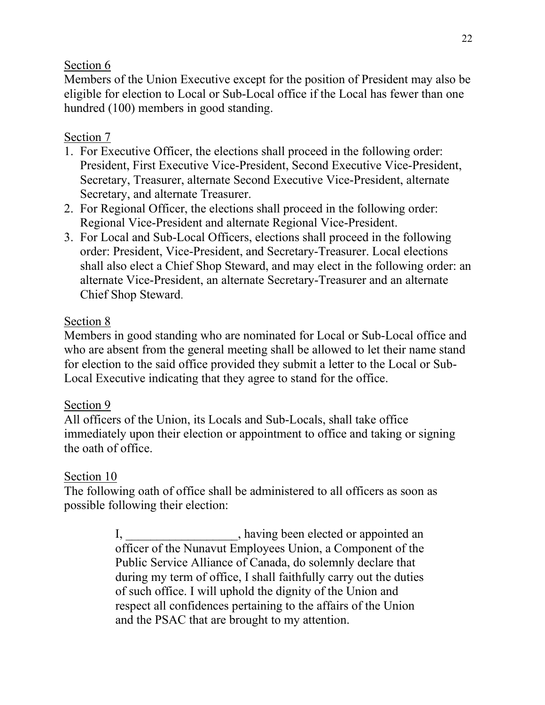Members of the Union Executive except for the position of President may also be eligible for election to Local or Sub-Local office if the Local has fewer than one hundred (100) members in good standing.

## Section 7

- 1. For Executive Officer, the elections shall proceed in the following order: President, First Executive Vice-President, Second Executive Vice-President, Secretary, Treasurer, alternate Second Executive Vice-President, alternate Secretary, and alternate Treasurer.
- 2. For Regional Officer, the elections shall proceed in the following order: Regional Vice-President and alternate Regional Vice-President.
- 3. For Local and Sub-Local Officers, elections shall proceed in the following order: President, Vice-President, and Secretary-Treasurer. Local elections shall also elect a Chief Shop Steward, and may elect in the following order: an alternate Vice-President, an alternate Secretary-Treasurer and an alternate Chief Shop Steward.

## Section 8

Members in good standing who are nominated for Local or Sub-Local office and who are absent from the general meeting shall be allowed to let their name stand for election to the said office provided they submit a letter to the Local or Sub-Local Executive indicating that they agree to stand for the office.

### Section 9

All officers of the Union, its Locals and Sub-Locals, shall take office immediately upon their election or appointment to office and taking or signing the oath of office.

### Section 10

The following oath of office shall be administered to all officers as soon as possible following their election:

> I, \_\_\_\_\_\_\_\_\_\_\_\_\_\_\_, having been elected or appointed an officer of the Nunavut Employees Union, a Component of the Public Service Alliance of Canada, do solemnly declare that during my term of office, I shall faithfully carry out the duties of such office. I will uphold the dignity of the Union and respect all confidences pertaining to the affairs of the Union and the PSAC that are brought to my attention.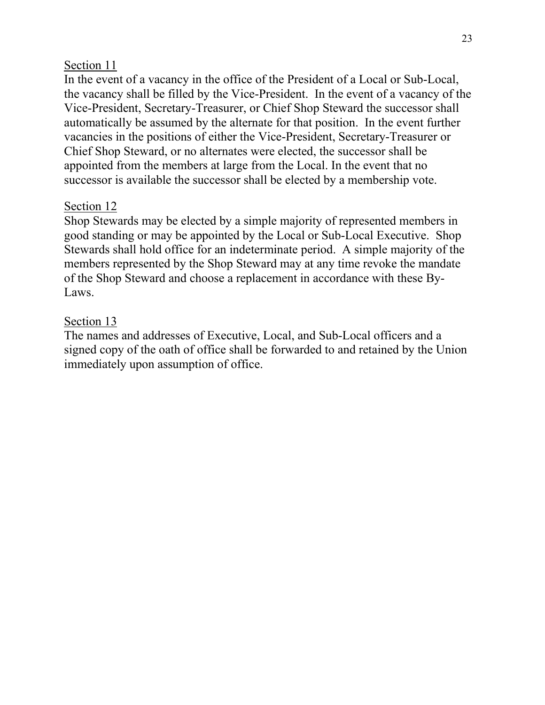In the event of a vacancy in the office of the President of a Local or Sub-Local, the vacancy shall be filled by the Vice-President. In the event of a vacancy of the Vice-President, Secretary-Treasurer, or Chief Shop Steward the successor shall automatically be assumed by the alternate for that position. In the event further vacancies in the positions of either the Vice-President, Secretary-Treasurer or Chief Shop Steward, or no alternates were elected, the successor shall be appointed from the members at large from the Local. In the event that no successor is available the successor shall be elected by a membership vote.

### Section 12

Shop Stewards may be elected by a simple majority of represented members in good standing or may be appointed by the Local or Sub-Local Executive. Shop Stewards shall hold office for an indeterminate period. A simple majority of the members represented by the Shop Steward may at any time revoke the mandate of the Shop Steward and choose a replacement in accordance with these By-Laws.

### Section 13

The names and addresses of Executive, Local, and Sub-Local officers and a signed copy of the oath of office shall be forwarded to and retained by the Union immediately upon assumption of office.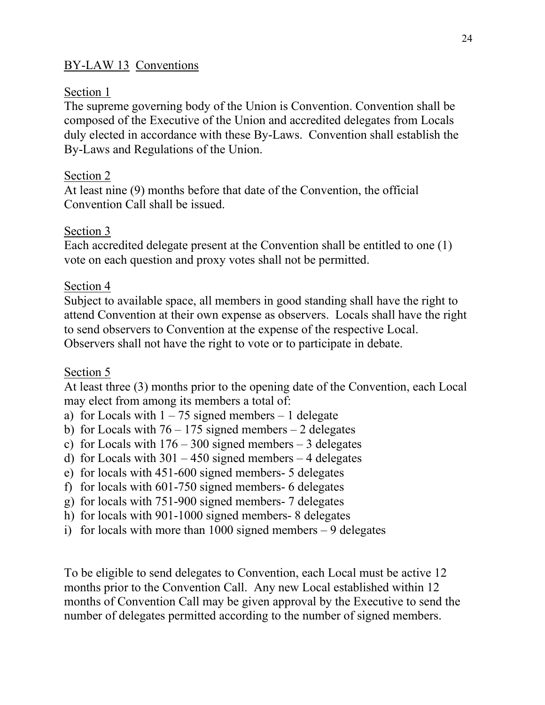## BY-LAW 13 Conventions

#### Section 1

The supreme governing body of the Union is Convention. Convention shall be composed of the Executive of the Union and accredited delegates from Locals duly elected in accordance with these By-Laws. Convention shall establish the By-Laws and Regulations of the Union.

### Section 2

At least nine (9) months before that date of the Convention, the official Convention Call shall be issued.

### Section 3

Each accredited delegate present at the Convention shall be entitled to one (1) vote on each question and proxy votes shall not be permitted.

### Section 4

Subject to available space, all members in good standing shall have the right to attend Convention at their own expense as observers. Locals shall have the right to send observers to Convention at the expense of the respective Local. Observers shall not have the right to vote or to participate in debate.

#### Section 5

At least three (3) months prior to the opening date of the Convention, each Local may elect from among its members a total of:

- a) for Locals with  $1 75$  signed members  $-1$  delegate
- b) for Locals with  $76 175$  signed members  $-2$  delegates
- c) for Locals with  $176 300$  signed members  $-3$  delegates
- d) for Locals with  $301 450$  signed members  $-4$  delegates
- e) for locals with 451-600 signed members- 5 delegates
- f) for locals with 601-750 signed members- 6 delegates
- g) for locals with 751-900 signed members- 7 delegates
- h) for locals with 901-1000 signed members- 8 delegates
- i) for locals with more than  $1000$  signed members  $-9$  delegates

To be eligible to send delegates to Convention, each Local must be active 12 months prior to the Convention Call. Any new Local established within 12 months of Convention Call may be given approval by the Executive to send the number of delegates permitted according to the number of signed members.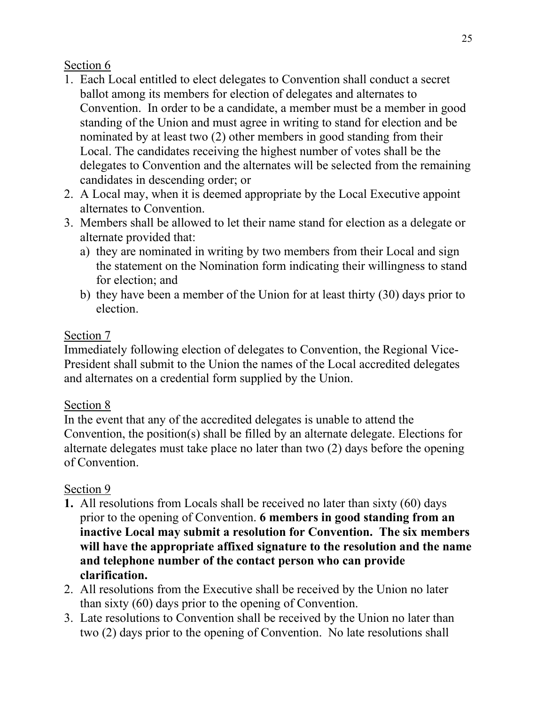- 1. Each Local entitled to elect delegates to Convention shall conduct a secret ballot among its members for election of delegates and alternates to Convention. In order to be a candidate, a member must be a member in good standing of the Union and must agree in writing to stand for election and be nominated by at least two (2) other members in good standing from their Local. The candidates receiving the highest number of votes shall be the delegates to Convention and the alternates will be selected from the remaining candidates in descending order; or
- 2. A Local may, when it is deemed appropriate by the Local Executive appoint alternates to Convention.
- 3. Members shall be allowed to let their name stand for election as a delegate or alternate provided that:
	- a) they are nominated in writing by two members from their Local and sign the statement on the Nomination form indicating their willingness to stand for election; and
	- b) they have been a member of the Union for at least thirty (30) days prior to election.

## Section 7

Immediately following election of delegates to Convention, the Regional Vice-President shall submit to the Union the names of the Local accredited delegates and alternates on a credential form supplied by the Union.

## Section 8

In the event that any of the accredited delegates is unable to attend the Convention, the position(s) shall be filled by an alternate delegate. Elections for alternate delegates must take place no later than two (2) days before the opening of Convention.

# Section 9

- **1.** All resolutions from Locals shall be received no later than sixty (60) days prior to the opening of Convention. **6 members in good standing from an inactive Local may submit a resolution for Convention. The six members will have the appropriate affixed signature to the resolution and the name and telephone number of the contact person who can provide clarification.**
- 2. All resolutions from the Executive shall be received by the Union no later than sixty (60) days prior to the opening of Convention.
- 3. Late resolutions to Convention shall be received by the Union no later than two (2) days prior to the opening of Convention. No late resolutions shall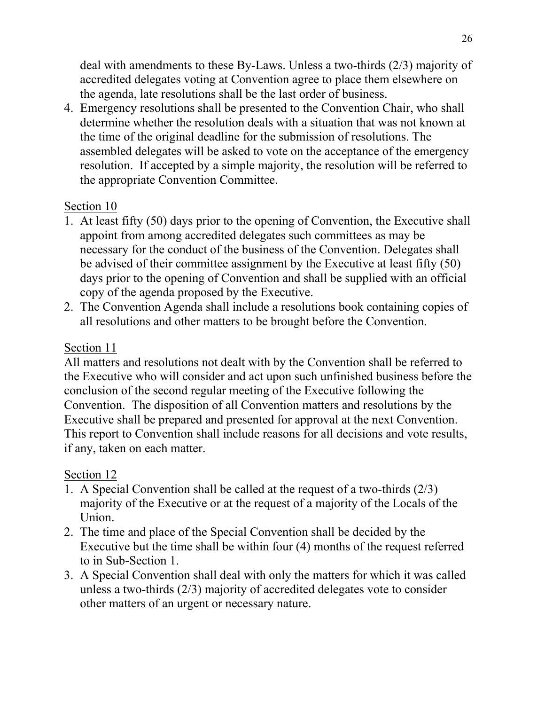deal with amendments to these By-Laws. Unless a two-thirds (2/3) majority of accredited delegates voting at Convention agree to place them elsewhere on the agenda, late resolutions shall be the last order of business.

4. Emergency resolutions shall be presented to the Convention Chair, who shall determine whether the resolution deals with a situation that was not known at the time of the original deadline for the submission of resolutions. The assembled delegates will be asked to vote on the acceptance of the emergency resolution. If accepted by a simple majority, the resolution will be referred to the appropriate Convention Committee.

## Section 10

- 1. At least fifty (50) days prior to the opening of Convention, the Executive shall appoint from among accredited delegates such committees as may be necessary for the conduct of the business of the Convention. Delegates shall be advised of their committee assignment by the Executive at least fifty (50) days prior to the opening of Convention and shall be supplied with an official copy of the agenda proposed by the Executive.
- 2. The Convention Agenda shall include a resolutions book containing copies of all resolutions and other matters to be brought before the Convention.

## Section 11

All matters and resolutions not dealt with by the Convention shall be referred to the Executive who will consider and act upon such unfinished business before the conclusion of the second regular meeting of the Executive following the Convention. The disposition of all Convention matters and resolutions by the Executive shall be prepared and presented for approval at the next Convention. This report to Convention shall include reasons for all decisions and vote results, if any, taken on each matter.

# Section 12

- 1. A Special Convention shall be called at the request of a two-thirds (2/3) majority of the Executive or at the request of a majority of the Locals of the Union.
- 2. The time and place of the Special Convention shall be decided by the Executive but the time shall be within four (4) months of the request referred to in Sub-Section 1.
- 3. A Special Convention shall deal with only the matters for which it was called unless a two-thirds (2/3) majority of accredited delegates vote to consider other matters of an urgent or necessary nature.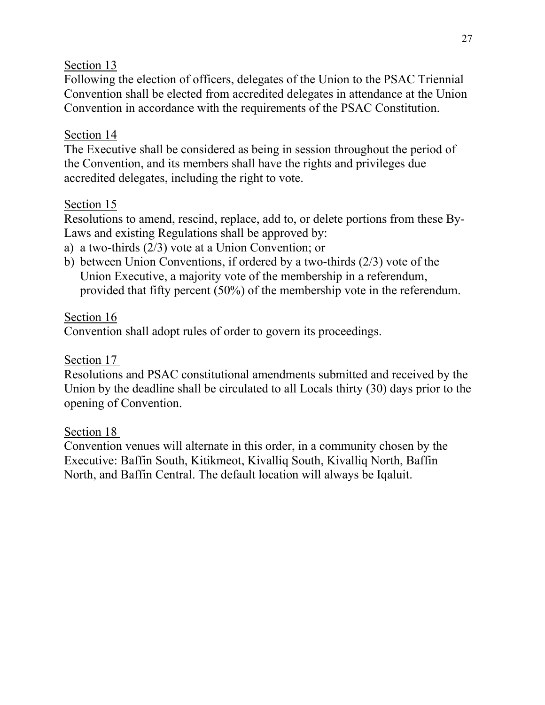Following the election of officers, delegates of the Union to the PSAC Triennial Convention shall be elected from accredited delegates in attendance at the Union Convention in accordance with the requirements of the PSAC Constitution.

## Section 14

The Executive shall be considered as being in session throughout the period of the Convention, and its members shall have the rights and privileges due accredited delegates, including the right to vote.

## Section 15

Resolutions to amend, rescind, replace, add to, or delete portions from these By-Laws and existing Regulations shall be approved by:

- a) a two-thirds (2/3) vote at a Union Convention; or
- b) between Union Conventions, if ordered by a two-thirds (2/3) vote of the Union Executive, a majority vote of the membership in a referendum, provided that fifty percent (50%) of the membership vote in the referendum.

## Section 16

Convention shall adopt rules of order to govern its proceedings.

### Section 17

Resolutions and PSAC constitutional amendments submitted and received by the Union by the deadline shall be circulated to all Locals thirty (30) days prior to the opening of Convention.

### Section 18

Convention venues will alternate in this order, in a community chosen by the Executive: Baffin South, Kitikmeot, Kivalliq South, Kivalliq North, Baffin North, and Baffin Central. The default location will always be Iqaluit.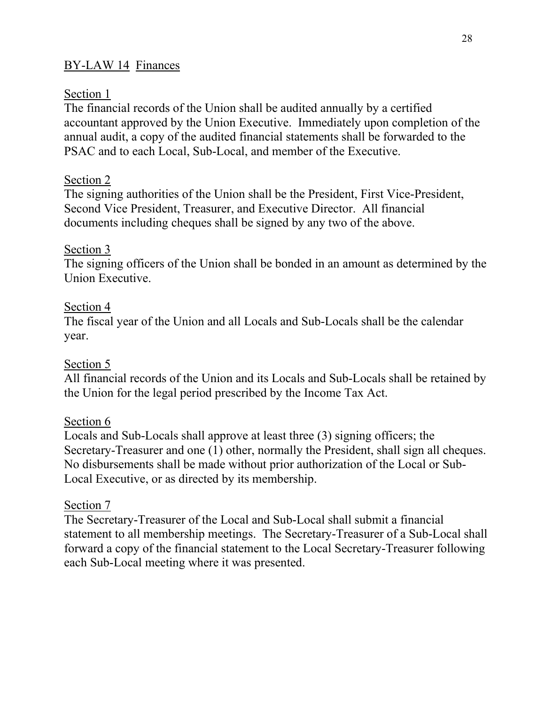## BY-LAW 14 Finances

### Section 1

The financial records of the Union shall be audited annually by a certified accountant approved by the Union Executive. Immediately upon completion of the annual audit, a copy of the audited financial statements shall be forwarded to the PSAC and to each Local, Sub-Local, and member of the Executive.

## Section 2

The signing authorities of the Union shall be the President, First Vice-President, Second Vice President, Treasurer, and Executive Director. All financial documents including cheques shall be signed by any two of the above.

### Section 3

The signing officers of the Union shall be bonded in an amount as determined by the Union Executive.

### Section 4

The fiscal year of the Union and all Locals and Sub-Locals shall be the calendar year.

### Section 5

All financial records of the Union and its Locals and Sub-Locals shall be retained by the Union for the legal period prescribed by the Income Tax Act.

### Section 6

Locals and Sub-Locals shall approve at least three (3) signing officers; the Secretary-Treasurer and one (1) other, normally the President, shall sign all cheques. No disbursements shall be made without prior authorization of the Local or Sub-Local Executive, or as directed by its membership.

### Section 7

The Secretary-Treasurer of the Local and Sub-Local shall submit a financial statement to all membership meetings. The Secretary-Treasurer of a Sub-Local shall forward a copy of the financial statement to the Local Secretary-Treasurer following each Sub-Local meeting where it was presented.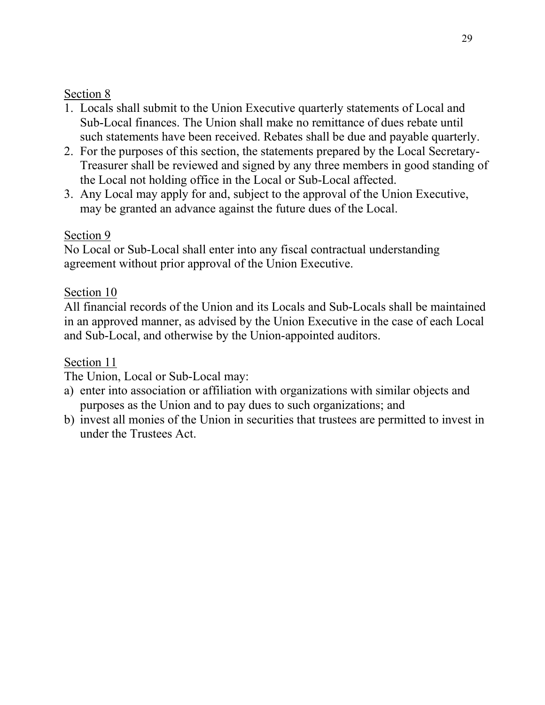- 1. Locals shall submit to the Union Executive quarterly statements of Local and Sub-Local finances. The Union shall make no remittance of dues rebate until such statements have been received. Rebates shall be due and payable quarterly.
- 2. For the purposes of this section, the statements prepared by the Local Secretary-Treasurer shall be reviewed and signed by any three members in good standing of the Local not holding office in the Local or Sub-Local affected.
- 3. Any Local may apply for and, subject to the approval of the Union Executive, may be granted an advance against the future dues of the Local.

## Section 9

No Local or Sub-Local shall enter into any fiscal contractual understanding agreement without prior approval of the Union Executive.

## Section 10

All financial records of the Union and its Locals and Sub-Locals shall be maintained in an approved manner, as advised by the Union Executive in the case of each Local and Sub-Local, and otherwise by the Union-appointed auditors.

## Section 11

The Union, Local or Sub-Local may:

- a) enter into association or affiliation with organizations with similar objects and purposes as the Union and to pay dues to such organizations; and
- b) invest all monies of the Union in securities that trustees are permitted to invest in under the Trustees Act.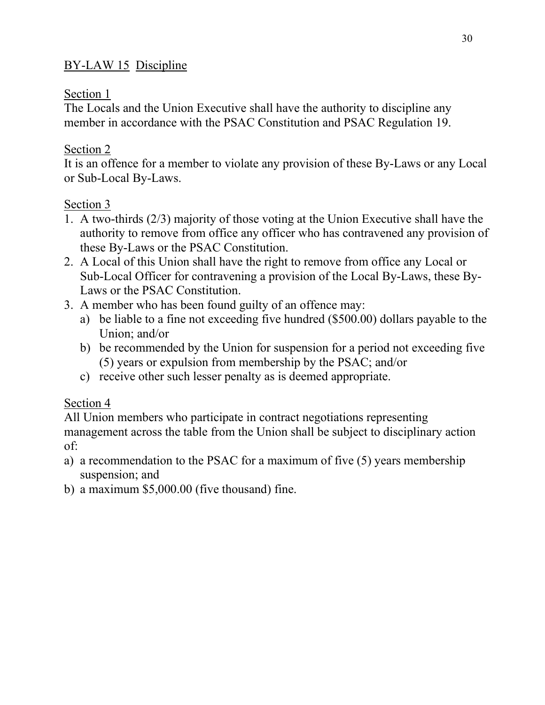# BY-LAW 15 Discipline

## Section 1

The Locals and the Union Executive shall have the authority to discipline any member in accordance with the PSAC Constitution and PSAC Regulation 19.

## Section 2

It is an offence for a member to violate any provision of these By-Laws or any Local or Sub-Local By-Laws.

## Section 3

- 1. A two-thirds (2/3) majority of those voting at the Union Executive shall have the authority to remove from office any officer who has contravened any provision of these By-Laws or the PSAC Constitution.
- 2. A Local of this Union shall have the right to remove from office any Local or Sub-Local Officer for contravening a provision of the Local By-Laws, these By-Laws or the PSAC Constitution.
- 3. A member who has been found guilty of an offence may:
	- a) be liable to a fine not exceeding five hundred (\$500.00) dollars payable to the Union; and/or
	- b) be recommended by the Union for suspension for a period not exceeding five (5) years or expulsion from membership by the PSAC; and/or
	- c) receive other such lesser penalty as is deemed appropriate.

# Section 4

All Union members who participate in contract negotiations representing management across the table from the Union shall be subject to disciplinary action of:

- a) a recommendation to the PSAC for a maximum of five (5) years membership suspension; and
- b) a maximum \$5,000.00 (five thousand) fine.